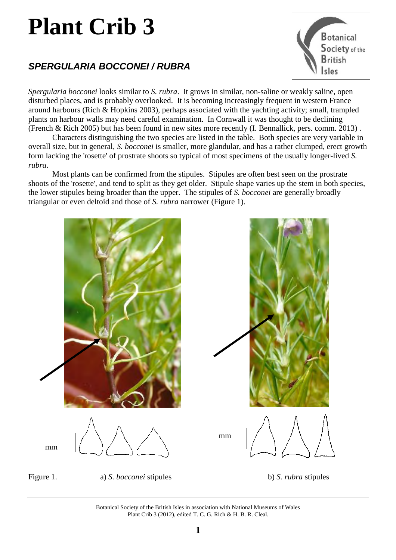## **Plant Crib 3**

## *SPERGULARIA BOCCONEI / RUBRA*



*Spergularia bocconei* looks similar to *S. rubra*. It grows in similar, non-saline or weakly saline, open disturbed places, and is probably overlooked. It is becoming increasingly frequent in western France around harbours (Rich & Hopkins 2003), perhaps associated with the yachting activity; small, trampled plants on harbour walls may need careful examination. In Cornwall it was thought to be declining (French & Rich 2005) but has been found in new sites more recently (I. Bennallick, pers. comm. 2013) .

Characters distinguishing the two species are listed in the table. Both species are very variable in overall size, but in general, *S. bocconei* is smaller, more glandular, and has a rather clumped, erect growth form lacking the 'rosette' of prostrate shoots so typical of most specimens of the usually longer-lived *S. rubra*.

Most plants can be confirmed from the stipules. Stipules are often best seen on the prostrate shoots of the 'rosette', and tend to split as they get older. Stipule shape varies up the stem in both species, the lower stipules being broader than the upper. The stipules of *S. bocconei* are generally broadly triangular or even deltoid and those of *S. rubra* narrower (Figure 1).



Botanical Society of the British Isles in association with National Museums of Wales Plant Crib 3 (2012), edited T. C. G. Rich & H. B. R. Cleal.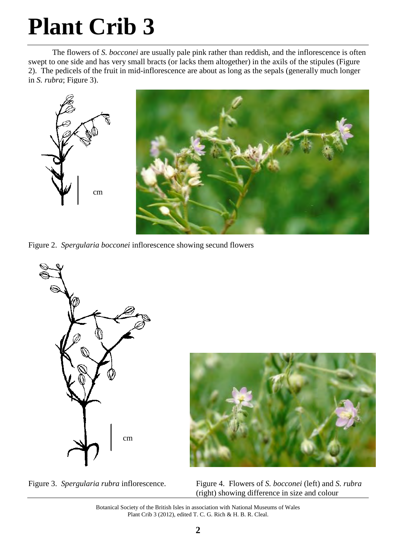## **Plant Crib 3**

The flowers of *S. bocconei* are usually pale pink rather than reddish, and the inflorescence is often swept to one side and has very small bracts (or lacks them altogether) in the axils of the stipules (Figure 2). The pedicels of the fruit in mid-inflorescence are about as long as the sepals (generally much longer in *S. rubra*; Figure 3).



Figure 2. *Spergularia bocconei* inflorescence showing secund flowers



Figure 3. *Spergularia rubra* inflorescence. Figure 4. Flowers of *S. bocconei* (left) and *S. rubra* (right) showing difference in size and colour

Botanical Society of the British Isles in association with National Museums of Wales Plant Crib 3 (2012), edited T. C. G. Rich & H. B. R. Cleal.